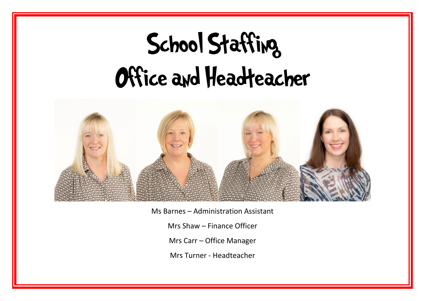# School Staffing Office and Headteacher



Ms Barnes – Administration Assistant

Mrs Shaw – Finance Officer

Mrs Carr – Office Manager

Mrs Turner - Headteacher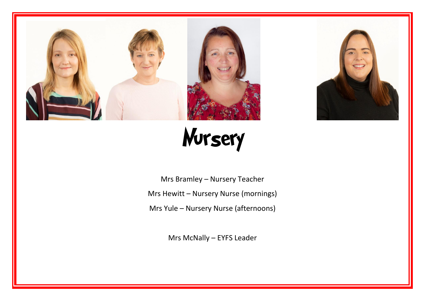



Nursery

Mrs Bramley – Nursery Teacher Mrs Hewitt – Nursery Nurse (mornings) Mrs Yule – Nursery Nurse (afternoons)

Mrs McNally – EYFS Leader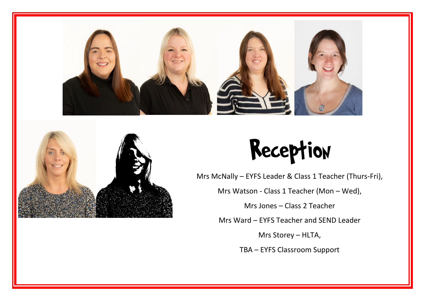



## Reception

Mrs McNally – EYFS Leader & Class 1 Teacher (Thurs-Fri),

Mrs Watson - Class 1 Teacher (Mon – Wed),

Mrs Jones – Class 2 Teacher

Mrs Ward – EYFS Teacher and SEND Leader

Mrs Storey – HLTA,

TBA – EYFS Classroom Support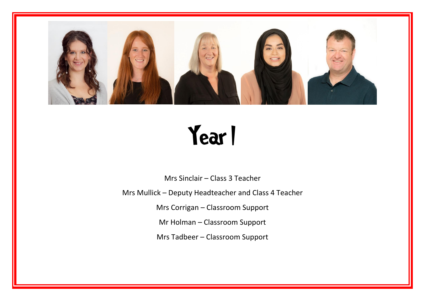

## Year I

Mrs Sinclair – Class 3 Teacher

Mrs Mullick – Deputy Headteacher and Class 4 Teacher

Mrs Corrigan – Classroom Support

Mr Holman – Classroom Support

Mrs Tadbeer – Classroom Support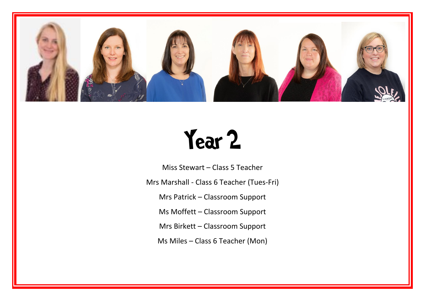

#### Year 2

Miss Stewart – Class 5 Teacher Mrs Marshall - Class 6 Teacher (Tues-Fri) Mrs Patrick – Classroom Support Ms Moffett – Classroom Support Mrs Birkett – Classroom Support Ms Miles – Class 6 Teacher (Mon)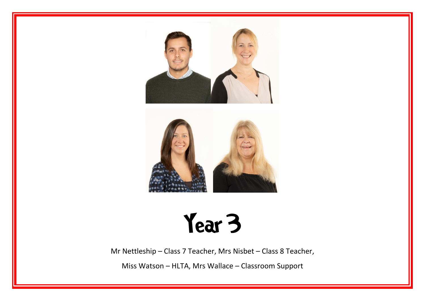

## Year 3

Mr Nettleship – Class 7 Teacher, Mrs Nisbet – Class 8 Teacher,

Miss Watson – HLTA, Mrs Wallace – Classroom Support